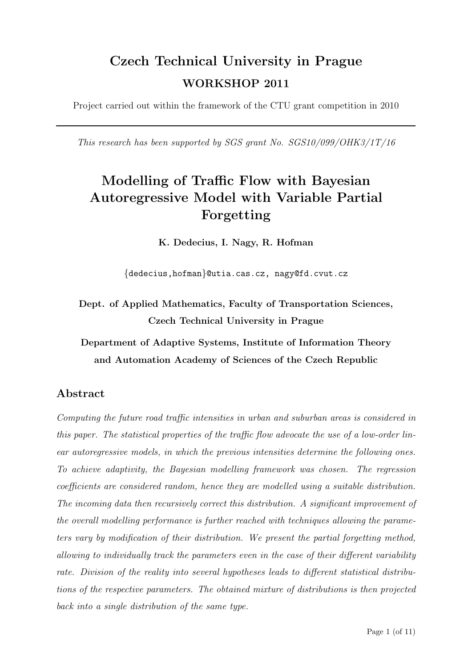# Czech Technical University in Prague WORKSHOP 2011

Project carried out within the framework of the CTU grant competition in 2010

This research has been supported by SGS grant No. SGS10/099/OHK3/1T/16

# Modelling of Traffic Flow with Bayesian Autoregressive Model with Variable Partial Forgetting

K. Dedecius, I. Nagy, R. Hofman

{dedecius,hofman}@utia.cas.cz, nagy@fd.cvut.cz

Dept. of Applied Mathematics, Faculty of Transportation Sciences, Czech Technical University in Prague

Department of Adaptive Systems, Institute of Information Theory and Automation Academy of Sciences of the Czech Republic

### Abstract

Computing the future road traffic intensities in urban and suburban areas is considered in this paper. The statistical properties of the traffic flow advocate the use of a low-order linear autoregressive models, in which the previous intensities determine the following ones. To achieve adaptivity, the Bayesian modelling framework was chosen. The regression coefficients are considered random, hence they are modelled using a suitable distribution. The incoming data then recursively correct this distribution. A significant improvement of the overall modelling performance is further reached with techniques allowing the parameters vary by modification of their distribution. We present the partial forgetting method, allowing to individually track the parameters even in the case of their different variability rate. Division of the reality into several hypotheses leads to different statistical distributions of the respective parameters. The obtained mixture of distributions is then projected back into a single distribution of the same type.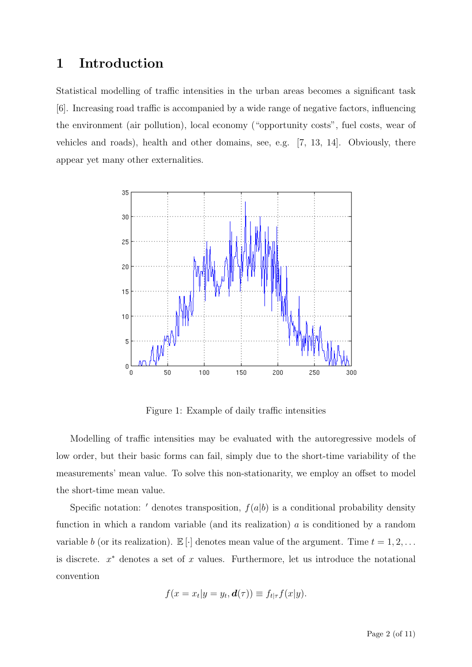## 1 Introduction

Statistical modelling of traffic intensities in the urban areas becomes a significant task [\[6\]](#page-10-0). Increasing road traffic is accompanied by a wide range of negative factors, influencing the environment (air pollution), local economy ("opportunity costs", fuel costs, wear of vehicles and roads), health and other domains, see, e.g. [\[7,](#page-10-1) [13,](#page-10-2) [14\]](#page-10-3). Obviously, there appear yet many other externalities.



<span id="page-1-0"></span>Figure 1: Example of daily traffic intensities

Modelling of traffic intensities may be evaluated with the autoregressive models of low order, but their basic forms can fail, simply due to the short-time variability of the measurements' mean value. To solve this non-stationarity, we employ an offset to model the short-time mean value.

Specific notation:  $'$  denotes transposition,  $f(a|b)$  is a conditional probability density function in which a random variable (and its realization)  $a$  is conditioned by a random variable b (or its realization).  $\mathbb{E}[\cdot]$  denotes mean value of the argument. Time  $t = 1, 2, \ldots$ is discrete.  $x^*$  denotes a set of  $x$  values. Furthermore, let us introduce the notational convention

$$
f(x = x_t | y = y_t, \mathbf{d}(\tau)) \equiv f_{t | \tau} f(x | y).
$$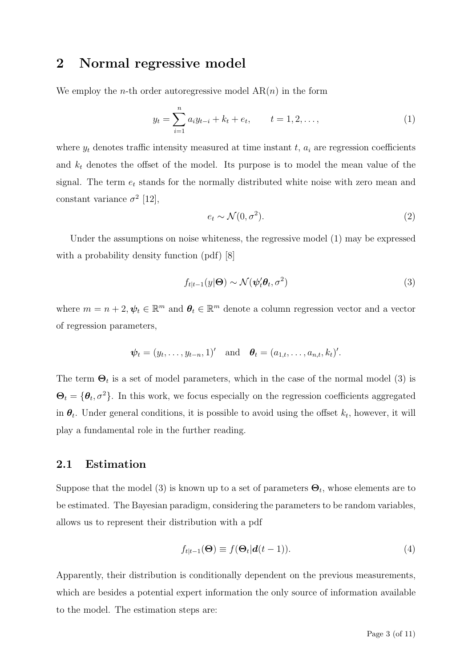## 2 Normal regressive model

We employ the *n*-th order autoregressive model  $AR(n)$  in the form

<span id="page-2-0"></span>
$$
y_t = \sum_{i=1}^n a_i y_{t-i} + k_t + e_t, \qquad t = 1, 2, \dots,
$$
 (1)

where  $y_t$  denotes traffic intensity measured at time instant  $t$ ,  $a_i$  are regression coefficients and  $k_t$  denotes the offset of the model. Its purpose is to model the mean value of the signal. The term  $e_t$  stands for the normally distributed white noise with zero mean and constant variance  $\sigma^2$  [\[12\]](#page-10-4),

$$
e_t \sim \mathcal{N}(0, \sigma^2). \tag{2}
$$

Under the assumptions on noise whiteness, the regressive model [\(1\)](#page-2-0) may be expressed with a probability density function (pdf) [\[8\]](#page-10-5)

<span id="page-2-1"></span>
$$
f_{t|t-1}(y|\Theta) \sim \mathcal{N}(\psi_t' \theta_t, \sigma^2)
$$
\n(3)

where  $m = n + 2, \psi_t \in \mathbb{R}^m$  and  $\theta_t \in \mathbb{R}^m$  denote a column regression vector and a vector of regression parameters,

$$
\psi_t = (y_t, \ldots, y_{t-n}, 1)'
$$
 and  $\boldsymbol{\theta}_t = (a_{1,t}, \ldots, a_{n,t}, k_t)'$ .

The term  $\Theta_t$  is a set of model parameters, which in the case of the normal model [\(3\)](#page-2-1) is  $\Theta_t = {\theta_t, \sigma^2}$ . In this work, we focus especially on the regression coefficients aggregated in  $\theta_t$ . Under general conditions, it is possible to avoid using the offset  $k_t$ , however, it will play a fundamental role in the further reading.

#### <span id="page-2-2"></span>2.1 Estimation

Suppose that the model [\(3\)](#page-2-1) is known up to a set of parameters  $\Theta_t$ , whose elements are to be estimated. The Bayesian paradigm, considering the parameters to be random variables, allows us to represent their distribution with a pdf

$$
f_{t|t-1}(\Theta) \equiv f(\Theta_t|d(t-1)).
$$
\n(4)

Apparently, their distribution is conditionally dependent on the previous measurements, which are besides a potential expert information the only source of information available to the model. The estimation steps are: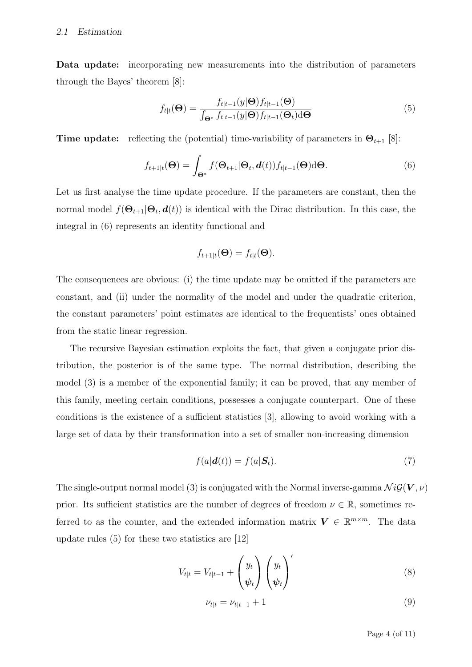Data update: incorporating new measurements into the distribution of parameters through the Bayes' theorem [\[8\]](#page-10-5):

<span id="page-3-1"></span>
$$
f_{t|t}(\Theta) = \frac{f_{t|t-1}(y|\Theta) f_{t|t-1}(\Theta)}{\int_{\Theta^*} f_{t|t-1}(y|\Theta) f_{t|t-1}(\Theta_t) d\Theta}
$$
(5)

**Time update:** reflecting the (potential) time-variability of parameters in  $\Theta_{t+1}$  [\[8\]](#page-10-5):

<span id="page-3-0"></span>
$$
f_{t+1|t}(\Theta) = \int_{\Theta^*} f(\Theta_{t+1}|\Theta_t, \boldsymbol{d}(t)) f_{t|t-1}(\Theta) d\Theta.
$$
 (6)

Let us first analyse the time update procedure. If the parameters are constant, then the normal model  $f(\Theta_{t+1}|\Theta_t, d(t))$  is identical with the Dirac distribution. In this case, the integral in [\(6\)](#page-3-0) represents an identity functional and

$$
f_{t+1|t}(\Theta) = f_{t|t}(\Theta).
$$

The consequences are obvious: (i) the time update may be omitted if the parameters are constant, and (ii) under the normality of the model and under the quadratic criterion, the constant parameters' point estimates are identical to the frequentists' ones obtained from the static linear regression.

The recursive Bayesian estimation exploits the fact, that given a conjugate prior distribution, the posterior is of the same type. The normal distribution, describing the model [\(3\)](#page-2-1) is a member of the exponential family; it can be proved, that any member of this family, meeting certain conditions, possesses a conjugate counterpart. One of these conditions is the existence of a sufficient statistics [\[3\]](#page-10-6), allowing to avoid working with a large set of data by their transformation into a set of smaller non-increasing dimension

$$
f(a|\boldsymbol{d}(t)) = f(a|\boldsymbol{S}_t). \tag{7}
$$

The single-output normal model [\(3\)](#page-2-1) is conjugated with the Normal inverse-gamma  $\mathcal{N} \mathcal{G}(\mathbf{V}, \nu)$ prior. Its sufficient statistics are the number of degrees of freedom  $\nu \in \mathbb{R}$ , sometimes referred to as the counter, and the extended information matrix  $V \in \mathbb{R}^{m \times m}$ . The data update rules  $(5)$  for these two statistics are  $|12|$ 

$$
V_{t|t} = V_{t|t-1} + \begin{pmatrix} y_t \\ \psi_t \end{pmatrix} \begin{pmatrix} y_t \\ \psi_t \end{pmatrix}' \tag{8}
$$

$$
\nu_{t|t} = \nu_{t|t-1} + 1 \tag{9}
$$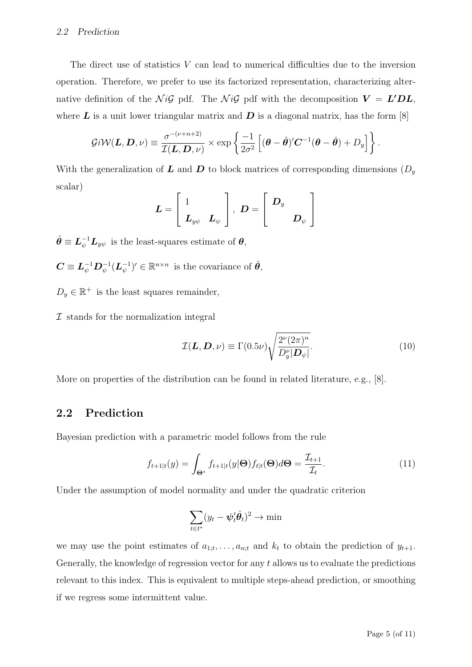#### 2.2 Prediction

The direct use of statistics  $V$  can lead to numerical difficulties due to the inversion operation. Therefore, we prefer to use its factorized representation, characterizing alternative definition of the  $\mathcal{N} \mathcal{G}$  pdf. The  $\mathcal{N} \mathcal{G}$  pdf with the decomposition  $V = L'DL$ , where  $\bm{L}$  is a unit lower triangular matrix and  $\bm{D}$  is a diagonal matrix, has the form [\[8\]](#page-10-5)

$$
\mathcal{G}i\mathcal{W}(\mathbf{L},\mathbf{D},\nu)\equiv\frac{\sigma^{-(\nu+n+2)}}{\mathcal{I}(\mathbf{L},\mathbf{D},\nu)}\times\exp\left\{\frac{-1}{2\sigma^2}\left[(\boldsymbol{\theta}-\hat{\boldsymbol{\theta}})^{\prime}\mathbf{C}^{-1}(\boldsymbol{\theta}-\hat{\boldsymbol{\theta}})+D_y\right]\right\}.
$$

With the generalization of  $\boldsymbol{L}$  and  $\boldsymbol{D}$  to block matrices of corresponding dimensions  $(D_y)$ scalar)

$$
\bm{L} = \left[ \begin{array}{cc} 1 \\ \bm{L}_{y\psi} & \bm{L}_{\psi} \end{array} \right], \,\, \bm{D} = \left[ \begin{array}{cc} \bm{D}_y & \\ & \bm{D}_{\psi} \end{array} \right]
$$

 $\hat{\theta} \equiv L_{\psi}^{-1} L_{y\psi}$  is the least-squares estimate of  $\theta$ ,

 $\bm{C} \equiv \bm{L}_\psi^{-1} \bm{D}_\psi^{-1} (\bm{L}_\psi^{-1}$  $(\psi^{-1})' \in \mathbb{R}^{n \times n}$  is the covariance of  $\hat{\theta}$ ,

 $D_y \in \mathbb{R}^+$  is the least squares remainder,

 $I$  stands for the normalization integral

$$
\mathcal{I}(\mathbf{L}, \mathbf{D}, \nu) \equiv \Gamma(0.5\nu) \sqrt{\frac{2^{\nu} (2\pi)^n}{D_y^{\nu} |\mathbf{D}_{\psi}|}}.
$$
\n(10)

More on properties of the distribution can be found in related literature, e.g., [\[8\]](#page-10-5).

### 2.2 Prediction

Bayesian prediction with a parametric model follows from the rule

$$
f_{t+1|t}(y) = \int_{\Theta^*} f_{t+1|t}(y|\Theta) f_{t|t}(\Theta) d\Theta = \frac{\mathcal{I}_{t+1}}{\mathcal{I}_t}.
$$
 (11)

Under the assumption of model normality and under the quadratic criterion

$$
\sum_{t \in t^*} (y_t - \boldsymbol{\psi}_t' \hat{\boldsymbol{\theta}}_t)^2 \to \min
$$

we may use the point estimates of  $a_{1;t}, \ldots, a_{n;t}$  and  $k_t$  to obtain the prediction of  $y_{t+1}$ . Generally, the knowledge of regression vector for any t allows us to evaluate the predictions relevant to this index. This is equivalent to multiple steps-ahead prediction, or smoothing if we regress some intermittent value.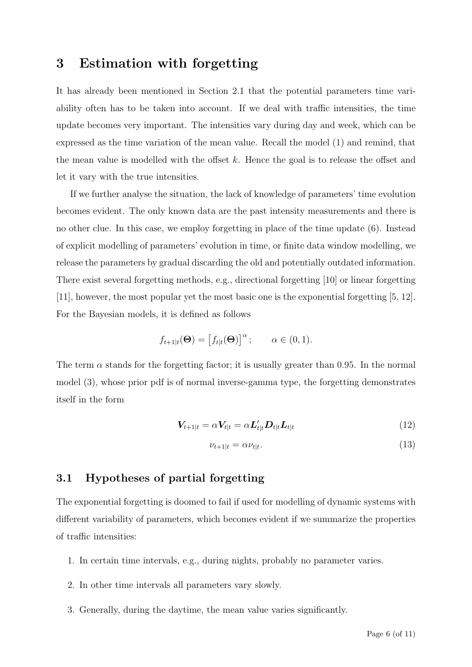## 3 Estimation with forgetting

It has already been mentioned in Section [2.1](#page-2-2) that the potential parameters time variability often has to be taken into account. If we deal with traffic intensities, the time update becomes very important. The intensities vary during day and week, which can be expressed as the time variation of the mean value. Recall the model [\(1\)](#page-2-0) and remind, that the mean value is modelled with the offset k. Hence the goal is to release the offset and let it vary with the true intensities.

If we further analyse the situation, the lack of knowledge of parameters' time evolution becomes evident. The only known data are the past intensity measurements and there is no other clue. In this case, we employ forgetting in place of the time update [\(6\)](#page-3-0). Instead of explicit modelling of parameters' evolution in time, or finite data window modelling, we release the parameters by gradual discarding the old and potentially outdated information. There exist several forgetting methods, e.g., directional forgetting [\[10\]](#page-10-7) or linear forgetting [\[11\]](#page-10-8), however, the most popular yet the most basic one is the exponential forgetting [\[5,](#page-10-9) [12\]](#page-10-4). For the Bayesian models, it is defined as follows

$$
f_{t+1|t}(\Theta) = [f_{t|t}(\Theta)]^{\alpha}; \qquad \alpha \in (0,1).
$$

The term  $\alpha$  stands for the forgetting factor; it is usually greater than 0.95. In the normal model [\(3\)](#page-2-1), whose prior pdf is of normal inverse-gamma type, the forgetting demonstrates itself in the form

$$
\mathbf{V}_{t+1|t} = \alpha \mathbf{V}_{t|t} = \alpha \mathbf{L}_{t|t}' \mathbf{D}_{t|t} \mathbf{L}_{t|t}
$$
\n(12)

$$
\nu_{t+1|t} = \alpha \nu_{t|t}.\tag{13}
$$

### 3.1 Hypotheses of partial forgetting

The exponential forgetting is doomed to fail if used for modelling of dynamic systems with different variability of parameters, which becomes evident if we summarize the properties of traffic intensities:

- 1. In certain time intervals, e.g., during nights, probably no parameter varies.
- 2. In other time intervals all parameters vary slowly.
- 3. Generally, during the daytime, the mean value varies significantly.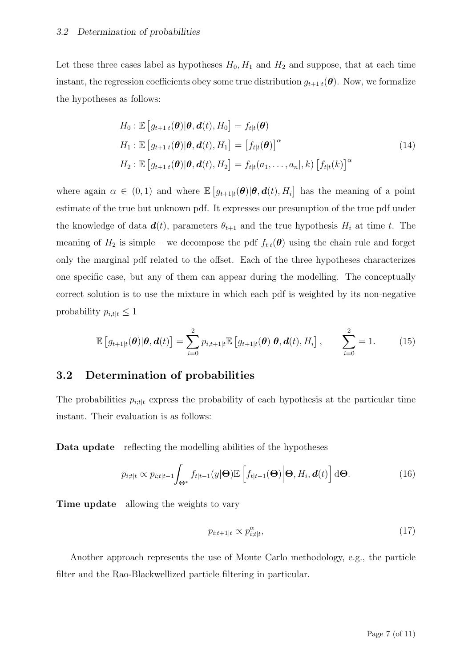Let these three cases label as hypotheses  $H_0, H_1$  and  $H_2$  and suppose, that at each time instant, the regression coefficients obey some true distribution  $g_{t+1|t}(\theta)$ . Now, we formalize the hypotheses as follows:

$$
H_0: \mathbb{E}\left[g_{t+1|t}(\boldsymbol{\theta})|\boldsymbol{\theta}, \boldsymbol{d}(t), H_0\right] = f_{t|t}(\boldsymbol{\theta})
$$
  
\n
$$
H_1: \mathbb{E}\left[g_{t+1|t}(\boldsymbol{\theta})|\boldsymbol{\theta}, \boldsymbol{d}(t), H_1\right] = \left[f_{t|t}(\boldsymbol{\theta})\right]^\alpha
$$
  
\n
$$
H_2: \mathbb{E}\left[g_{t+1|t}(\boldsymbol{\theta})|\boldsymbol{\theta}, \boldsymbol{d}(t), H_2\right] = f_{t|t}(a_1, \dots, a_n|, k) \left[f_{t|t}(k)\right]^\alpha
$$
\n(14)

where again  $\alpha \in (0,1)$  and where  $\mathbb{E}\left[g_{t+1|t}(\theta)|\theta, d(t), H_i\right]$  has the meaning of a point estimate of the true but unknown pdf. It expresses our presumption of the true pdf under the knowledge of data  $d(t)$ , parameters  $\theta_{t+1}$  and the true hypothesis  $H_i$  at time t. The meaning of  $H_2$  is simple – we decompose the pdf  $f_{t|t}(\theta)$  using the chain rule and forget only the marginal pdf related to the offset. Each of the three hypotheses characterizes one specific case, but any of them can appear during the modelling. The conceptually correct solution is to use the mixture in which each pdf is weighted by its non-negative probability  $p_{i,t|t} \leq 1$ 

<span id="page-6-0"></span>
$$
\mathbb{E}\left[g_{t+1|t}(\boldsymbol{\theta})|\boldsymbol{\theta},\boldsymbol{d}(t)\right] = \sum_{i=0}^{2} p_{i,t+1|t} \mathbb{E}\left[g_{t+1|t}(\boldsymbol{\theta})|\boldsymbol{\theta},\boldsymbol{d}(t),H_i\right], \qquad \sum_{i=0}^{2} = 1. \tag{15}
$$

#### 3.2 Determination of probabilities

The probabilities  $p_{i, t|t}$  express the probability of each hypothesis at the particular time instant. Their evaluation is as follows:

Data update reflecting the modelling abilities of the hypotheses

$$
p_{i;t|t} \propto p_{i;t|t-1} \int_{\Theta^*} f_{t|t-1}(y|\Theta) \mathbb{E}\left[f_{t|t-1}(\Theta) \Big| \Theta, H_i, \mathbf{d}(t)\right] d\Theta.
$$
 (16)

Time update allowing the weights to vary

$$
p_{i;t+1|t} \propto p_{i;t|t}^{\alpha},\tag{17}
$$

Another approach represents the use of Monte Carlo methodology, e.g., the particle filter and the Rao-Blackwellized particle filtering in particular.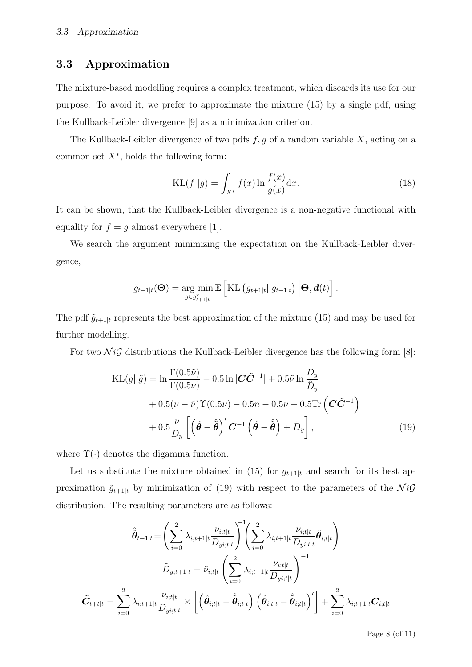### 3.3 Approximation

The mixture-based modelling requires a complex treatment, which discards its use for our purpose. To avoid it, we prefer to approximate the mixture [\(15\)](#page-6-0) by a single pdf, using the Kullback-Leibler divergence [\[9\]](#page-10-10) as a minimization criterion.

The Kullback-Leibler divergence of two pdfs  $f, g$  of a random variable  $X$ , acting on a common set  $X^*$ , holds the following form:

$$
KL(f||g) = \int_{X^*} f(x) \ln \frac{f(x)}{g(x)} dx.
$$
\n(18)

It can be shown, that the Kullback-Leibler divergence is a non-negative functional with equality for  $f = g$  almost everywhere [\[1\]](#page-8-0).

We search the argument minimizing the expectation on the Kullback-Leibler divergence,

$$
\tilde{g}_{t+1|t}(\mathbf{\Theta}) = \underset{g \in g_{t+1|t}}{\arg \min} \mathbb{E} \left[ \mathrm{KL} \left( g_{t+1|t} || \tilde{g}_{t+1|t} \right) \Big| \mathbf{\Theta}, \mathbf{d}(t) \right].
$$

The pdf  $\tilde{g}_{t+1|t}$  represents the best approximation of the mixture [\(15\)](#page-6-0) and may be used for further modelling.

For two  $\mathcal{N}i\mathcal{G}$  distributions the Kullback-Leibler divergence has the following form [\[8\]](#page-10-5):

$$
\begin{split} \text{KL}(g||\tilde{g}) &= \ln \frac{\Gamma(0.5\tilde{\nu})}{\Gamma(0.5\nu)} - 0.5 \ln |\mathbf{C}\tilde{\mathbf{C}}^{-1}| + 0.5\tilde{\nu} \ln \frac{D_y}{\tilde{D}_y} \\ &+ 0.5(\nu - \tilde{\nu})\Upsilon(0.5\nu) - 0.5n - 0.5\nu + 0.5 \text{Tr}\left(\mathbf{C}\tilde{\mathbf{C}}^{-1}\right) \\ &+ 0.5\frac{\nu}{D_y} \left[ \left(\hat{\boldsymbol{\theta}} - \hat{\tilde{\boldsymbol{\theta}}}\right)' \tilde{\mathbf{C}}^{-1} \left(\hat{\boldsymbol{\theta}} - \hat{\tilde{\boldsymbol{\theta}}}\right) + \tilde{D}_y \right], \end{split} \tag{19}
$$

where  $\Upsilon(\cdot)$  denotes the digamma function.

Let us substitute the mixture obtained in [\(15\)](#page-6-0) for  $g_{t+1|t}$  and search for its best approximation  $\tilde{g}_{t+1|t}$  by minimization of [\(19\)](#page-7-0) with respect to the parameters of the  $\mathcal{N}i\mathcal{G}$ distribution. The resulting parameters are as follows:

$$
\hat{\tilde{\boldsymbol{\theta}}}_{t+1|t} = \left(\sum_{i=0}^{2}\lambda_{i;t+1|t}\frac{\nu_{i;t|t}}{D_{yi;t|t}}\right)^{-1}\!\!\!\left(\sum_{i=0}^{2}\lambda_{i;t+1|t}\frac{\nu_{i;t|t}}{D_{yi;t|t}}\hat{\boldsymbol{\theta}}_{i;t|t}\right)\\ \tilde{D}_{y;t+1|t} = \tilde{\nu}_{i;t|t}\left(\sum_{i=0}^{2}\lambda_{i;t+1|t}\frac{\nu_{i;t|t}}{D_{yi;t|t}}\right)^{-1}\\ \tilde{C}_{t+t|t} = \sum_{i=0}^{2}\lambda_{i;t+1|t}\frac{\nu_{i;t|t}}{D_{yi;t|t}}\times\left[\left(\hat{\boldsymbol{\theta}}_{i;t|t}-\hat{\tilde{\boldsymbol{\theta}}}_{i;t|t}\right)\left(\hat{\boldsymbol{\theta}}_{i;t|t}-\hat{\tilde{\boldsymbol{\theta}}}_{i;t|t}\right)'\right]+\sum_{i=0}^{2}\lambda_{i;t+1|t}\boldsymbol{C}_{i;t|t}
$$

<span id="page-7-0"></span>Page 8 (of 11)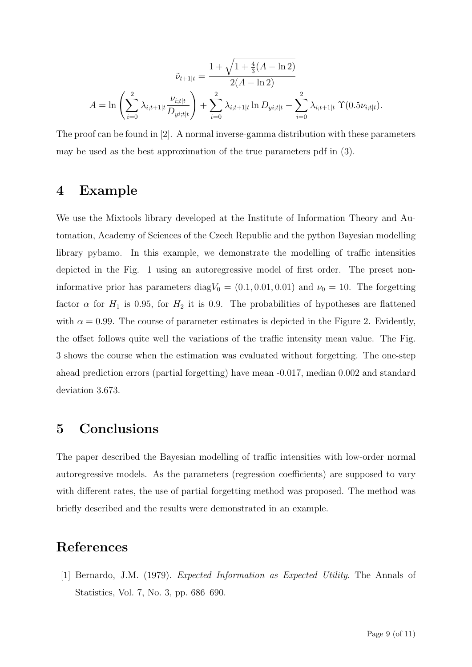$$
\tilde{\nu}_{t+1|t} = \frac{1 + \sqrt{1 + \frac{4}{3}(A - \ln 2)}}{2(A - \ln 2)}
$$

$$
A = \ln \left( \sum_{i=0}^{2} \lambda_{i;t+1|t} \frac{\nu_{i;t|t}}{D_{yi;t|t}} \right) + \sum_{i=0}^{2} \lambda_{i;t+1|t} \ln D_{yi;t|t} - \sum_{i=0}^{2} \lambda_{i;t+1|t} \Upsilon(0.5\nu_{i;t|t}).
$$

The proof can be found in [\[2\]](#page-9-0). A normal inverse-gamma distribution with these parameters may be used as the best approximation of the true parameters pdf in [\(3\)](#page-2-1).

# 4 Example

We use the Mixtools library developed at the Institute of Information Theory and Automation, Academy of Sciences of the Czech Republic and the python Bayesian modelling library pybamo. In this example, we demonstrate the modelling of traffic intensities depicted in the Fig. [1](#page-1-0) using an autoregressive model of first order. The preset noninformative prior has parameters diag $V_0 = (0.1, 0.01, 0.01)$  and  $\nu_0 = 10$ . The forgetting factor  $\alpha$  for  $H_1$  is 0.95, for  $H_2$  it is 0.9. The probabilities of hypotheses are flattened with  $\alpha = 0.99$ . The course of parameter estimates is depicted in the Figure [2.](#page-9-1) Evidently, the offset follows quite well the variations of the traffic intensity mean value. The Fig. [3](#page-9-2) shows the course when the estimation was evaluated without forgetting. The one-step ahead prediction errors (partial forgetting) have mean -0.017, median 0.002 and standard deviation 3.673.

### 5 Conclusions

The paper described the Bayesian modelling of traffic intensities with low-order normal autoregressive models. As the parameters (regression coefficients) are supposed to vary with different rates, the use of partial forgetting method was proposed. The method was briefly described and the results were demonstrated in an example.

# <span id="page-8-0"></span>References

[1] Bernardo, J.M. (1979). Expected Information as Expected Utility. The Annals of Statistics, Vol. 7, No. 3, pp. 686–690.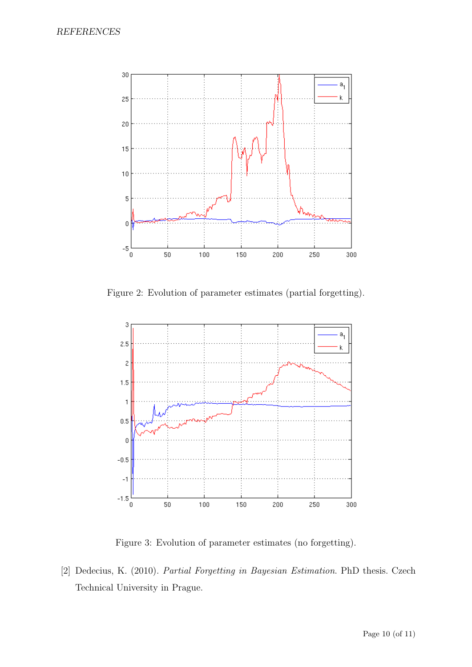

<span id="page-9-1"></span>Figure 2: Evolution of parameter estimates (partial forgetting).



<span id="page-9-2"></span>Figure 3: Evolution of parameter estimates (no forgetting).

<span id="page-9-0"></span>[2] Dedecius, K. (2010). Partial Forgetting in Bayesian Estimation. PhD thesis. Czech Technical University in Prague.